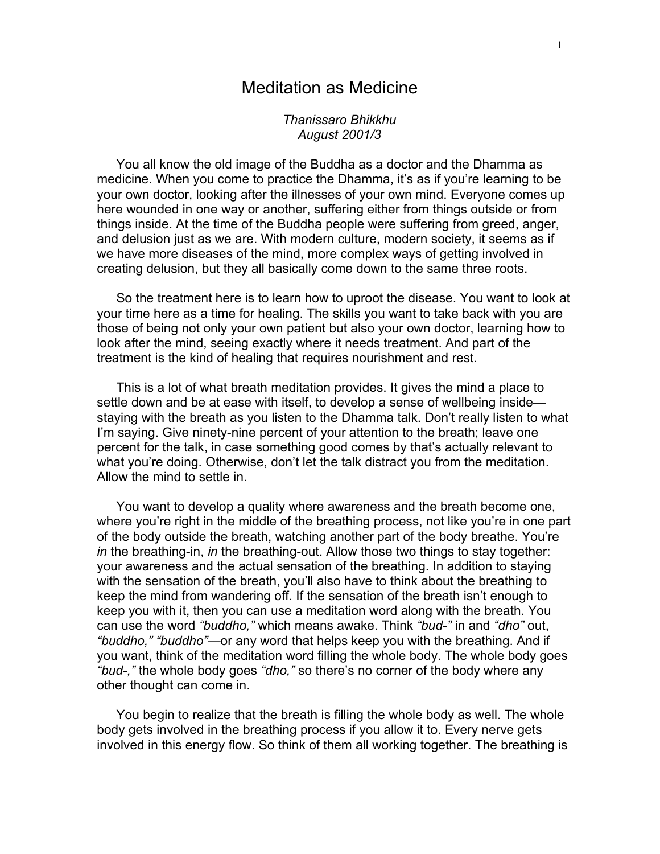## Meditation as Medicine

*Thanissaro Bhikkhu August 2001/3*

You all know the old image of the Buddha as a doctor and the Dhamma as medicine. When you come to practice the Dhamma, it's as if you're learning to be your own doctor, looking after the illnesses of your own mind. Everyone comes up here wounded in one way or another, suffering either from things outside or from things inside. At the time of the Buddha people were suffering from greed, anger, and delusion just as we are. With modern culture, modern society, it seems as if we have more diseases of the mind, more complex ways of getting involved in creating delusion, but they all basically come down to the same three roots.

So the treatment here is to learn how to uproot the disease. You want to look at your time here as a time for healing. The skills you want to take back with you are those of being not only your own patient but also your own doctor, learning how to look after the mind, seeing exactly where it needs treatment. And part of the treatment is the kind of healing that requires nourishment and rest.

This is a lot of what breath meditation provides. It gives the mind a place to settle down and be at ease with itself, to develop a sense of wellbeing inside staying with the breath as you listen to the Dhamma talk. Don't really listen to what I'm saying. Give ninety-nine percent of your attention to the breath; leave one percent for the talk, in case something good comes by that's actually relevant to what you're doing. Otherwise, don't let the talk distract you from the meditation. Allow the mind to settle in.

You want to develop a quality where awareness and the breath become one, where you're right in the middle of the breathing process, not like you're in one part of the body outside the breath, watching another part of the body breathe. You're *in* the breathing-in, *in* the breathing-out. Allow those two things to stay together: your awareness and the actual sensation of the breathing. In addition to staying with the sensation of the breath, you'll also have to think about the breathing to keep the mind from wandering off. If the sensation of the breath isn't enough to keep you with it, then you can use a meditation word along with the breath. You can use the word *"buddho,"* which means awake. Think *"bud-"* in and *"dho"* out, *"buddho," "buddho"—*or any word that helps keep you with the breathing. And if you want, think of the meditation word filling the whole body. The whole body goes *"bud-,"* the whole body goes *"dho,"* so there's no corner of the body where any other thought can come in.

You begin to realize that the breath is filling the whole body as well. The whole body gets involved in the breathing process if you allow it to. Every nerve gets involved in this energy flow. So think of them all working together. The breathing is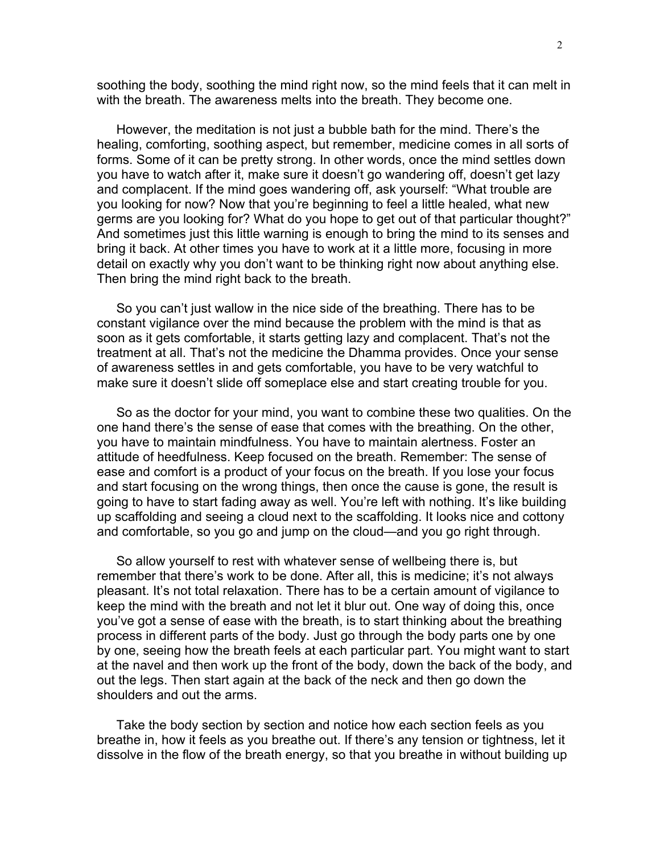soothing the body, soothing the mind right now, so the mind feels that it can melt in with the breath. The awareness melts into the breath. They become one.

However, the meditation is not just a bubble bath for the mind. There's the healing, comforting, soothing aspect, but remember, medicine comes in all sorts of forms. Some of it can be pretty strong. In other words, once the mind settles down you have to watch after it, make sure it doesn't go wandering off, doesn't get lazy and complacent. If the mind goes wandering off, ask yourself: "What trouble are you looking for now? Now that you're beginning to feel a little healed, what new germs are you looking for? What do you hope to get out of that particular thought?" And sometimes just this little warning is enough to bring the mind to its senses and bring it back. At other times you have to work at it a little more, focusing in more detail on exactly why you don't want to be thinking right now about anything else. Then bring the mind right back to the breath.

So you can't just wallow in the nice side of the breathing. There has to be constant vigilance over the mind because the problem with the mind is that as soon as it gets comfortable, it starts getting lazy and complacent. That's not the treatment at all. That's not the medicine the Dhamma provides. Once your sense of awareness settles in and gets comfortable, you have to be very watchful to make sure it doesn't slide off someplace else and start creating trouble for you.

So as the doctor for your mind, you want to combine these two qualities. On the one hand there's the sense of ease that comes with the breathing. On the other, you have to maintain mindfulness. You have to maintain alertness. Foster an attitude of heedfulness. Keep focused on the breath. Remember: The sense of ease and comfort is a product of your focus on the breath. If you lose your focus and start focusing on the wrong things, then once the cause is gone, the result is going to have to start fading away as well. You're left with nothing. It's like building up scaffolding and seeing a cloud next to the scaffolding. It looks nice and cottony and comfortable, so you go and jump on the cloud—and you go right through.

So allow yourself to rest with whatever sense of wellbeing there is, but remember that there's work to be done. After all, this is medicine; it's not always pleasant. It's not total relaxation. There has to be a certain amount of vigilance to keep the mind with the breath and not let it blur out. One way of doing this, once you've got a sense of ease with the breath, is to start thinking about the breathing process in different parts of the body. Just go through the body parts one by one by one, seeing how the breath feels at each particular part. You might want to start at the navel and then work up the front of the body, down the back of the body, and out the legs. Then start again at the back of the neck and then go down the shoulders and out the arms.

Take the body section by section and notice how each section feels as you breathe in, how it feels as you breathe out. If there's any tension or tightness, let it dissolve in the flow of the breath energy, so that you breathe in without building up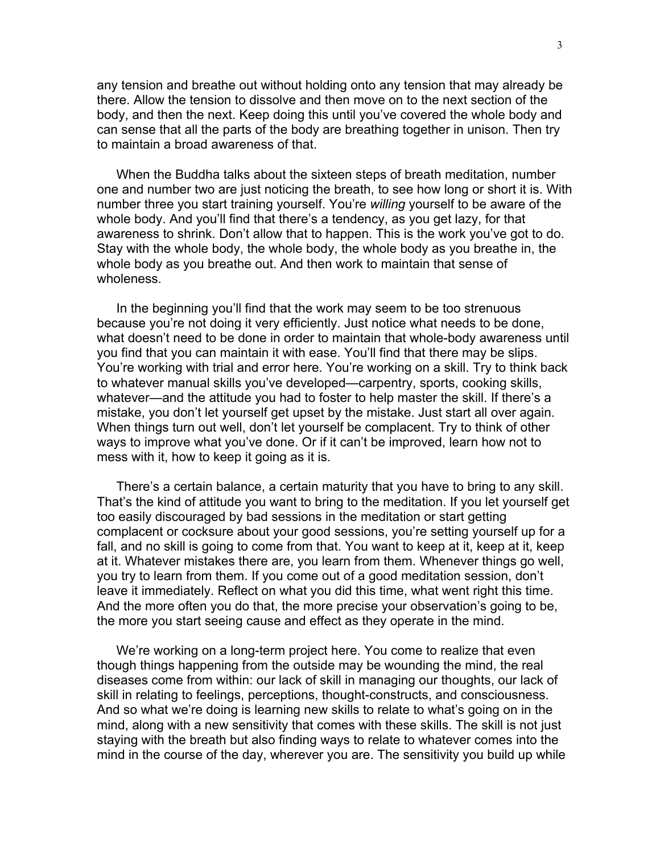any tension and breathe out without holding onto any tension that may already be there. Allow the tension to dissolve and then move on to the next section of the body, and then the next. Keep doing this until you've covered the whole body and can sense that all the parts of the body are breathing together in unison. Then try to maintain a broad awareness of that.

When the Buddha talks about the sixteen steps of breath meditation, number one and number two are just noticing the breath, to see how long or short it is. With number three you start training yourself. You're *willing* yourself to be aware of the whole body. And you'll find that there's a tendency, as you get lazy, for that awareness to shrink. Don't allow that to happen. This is the work you've got to do. Stay with the whole body, the whole body, the whole body as you breathe in, the whole body as you breathe out. And then work to maintain that sense of wholeness.

In the beginning you'll find that the work may seem to be too strenuous because you're not doing it very efficiently. Just notice what needs to be done, what doesn't need to be done in order to maintain that whole-body awareness until you find that you can maintain it with ease. You'll find that there may be slips. You're working with trial and error here. You're working on a skill. Try to think back to whatever manual skills you've developed—carpentry, sports, cooking skills, whatever—and the attitude you had to foster to help master the skill. If there's a mistake, you don't let yourself get upset by the mistake. Just start all over again. When things turn out well, don't let yourself be complacent. Try to think of other ways to improve what you've done. Or if it can't be improved, learn how not to mess with it, how to keep it going as it is.

There's a certain balance, a certain maturity that you have to bring to any skill. That's the kind of attitude you want to bring to the meditation. If you let yourself get too easily discouraged by bad sessions in the meditation or start getting complacent or cocksure about your good sessions, you're setting yourself up for a fall, and no skill is going to come from that. You want to keep at it, keep at it, keep at it. Whatever mistakes there are, you learn from them. Whenever things go well, you try to learn from them. If you come out of a good meditation session, don't leave it immediately. Reflect on what you did this time, what went right this time. And the more often you do that, the more precise your observation's going to be, the more you start seeing cause and effect as they operate in the mind.

We're working on a long-term project here. You come to realize that even though things happening from the outside may be wounding the mind, the real diseases come from within: our lack of skill in managing our thoughts, our lack of skill in relating to feelings, perceptions, thought-constructs, and consciousness. And so what we're doing is learning new skills to relate to what's going on in the mind, along with a new sensitivity that comes with these skills. The skill is not just staying with the breath but also finding ways to relate to whatever comes into the mind in the course of the day, wherever you are. The sensitivity you build up while